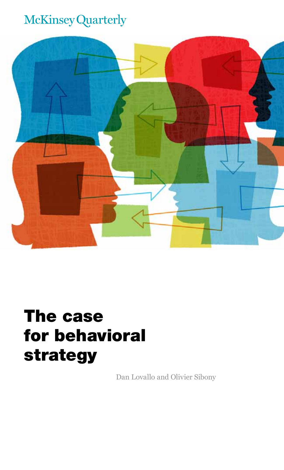## McKinsey Quarterly



## The case for behavioral strategy

Dan Lovallo and Olivier Sibony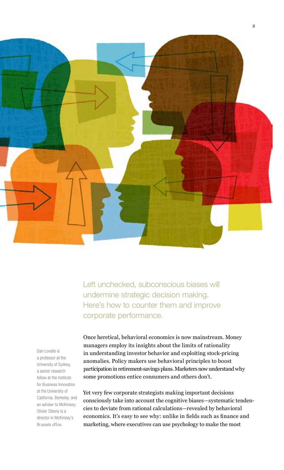

Left unchecked, subconscious biases will undermine strategic decision making. Here's how to counter them and improve corporate performance.

Dan Lovallo is a professor at the University of Sydney, a senior research fellow at the Institute for Business Innovation at the University of California, Berkeley, and an adviser to McKinsey; Olivier Sibony is a director in McKinsey's Brussels office.

Once heretical, behavioral economics is now mainstream. Money managers employ its insights about the limits of rationality in understanding investor behavior and exploiting stock-pricing anomalies. Policy makers use behavioral principles to boost participation in retirement-savings plans. Marketers now understand why some promotions entice consumers and others don't.

Yet very few corporate strategists making important decisions consciously take into account the cognitive biases—systematic tendencies to deviate from rational calculations—revealed by behavioral economics. It's easy to see why: unlike in fields such as finance and marketing, where executives can use psychology to make the most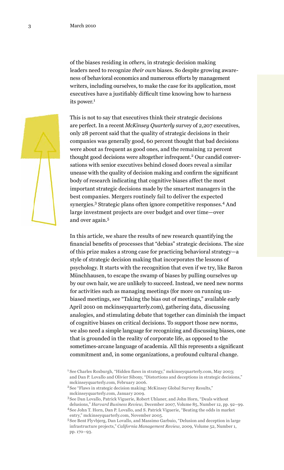of the biases residing in *others*, in strategic decision making leaders need to recognize *their own* biases. So despite growing awareness of behavioral economics and numerous efforts by management writers, including ourselves, to make the case for its application, most executives have a justifiably difficult time knowing how to harness its power.<sup>1</sup>

This is not to say that executives think their strategic decisions are perfect. In a recent *McKinsey Quarterly* survey of 2,207 executives, only 28 percent said that the quality of strategic decisions in their companies was generally good, 60 percent thought that bad decisions were about as frequent as good ones, and the remaining 12 percent thought good decisions were altogether infrequent.<sup>2</sup> Our candid conversations with senior executives behind closed doors reveal a similar unease with the quality of decision making and confirm the significant body of research indicating that cognitive biases affect the most important strategic decisions made by the smartest managers in the best companies. Mergers routinely fail to deliver the expected synergies.<sup>3</sup> Strategic plans often ignore competitive responses.<sup>4</sup> And large investment projects are over budget and over time—over and over again.5

In this article, we share the results of new research quantifying the financial benefits of processes that "debias" strategic decisions. The size of this prize makes a strong case for practicing behavioral strategy—a style of strategic decision making that incorporates the lessons of psychology. It starts with the recognition that even if we try, like Baron Münchhausen, to escape the swamp of biases by pulling ourselves up by our own hair, we are unlikely to succeed. Instead, we need new norms for activities such as managing meetings (for more on running unbiased meetings, see "Taking the bias out of meetings," available early April 2010 on mckinseyquarterly.com), gathering data, discussing analogies, and stimulating debate that together can diminish the impact of cognitive biases on critical decisions. To support those new norms, we also need a simple language for recognizing and discussing biases, one that is grounded in the reality of corporate life, as opposed to the sometimes-arcane language of academia. All this represents a significant commitment and, in some organizations, a profound cultural change.



<sup>&</sup>lt;sup>1</sup> See Charles Roxburgh, "Hidden flaws in strategy," mckinseyquarterly.com, May 2003; and Dan P. Lovallo and Olivier Sibony, "Distortions and deceptions in strategic decisions," mckinseyquarterly.com, February 2006.

<sup>2</sup>See "Flaws in strategic decision making: McKinsey Global Survey Results," mckinseyquarterly.com, January 2009.

<sup>3</sup>See Dan Lovallo, Patrick Viguerie, Robert Uhlaner, and John Horn, "Deals without

delusions," *Harvard Business Review,* December 2007, Volume 85, Number 12, pp. 92–99. <sup>4</sup>See John T. Horn, Dan P. Lovallo, and S. Patrick Viguerie, "Beating the odds in market entry," mckinseyquarterly.com, November 2005.

<sup>5</sup>See Bent Flyvbjerg, Dan Lovallo, and Massimo Garbuio, "Delusion and deception in large infrastructure projects," *California Management Review,* 2009, Volume 52, Number 1, pp. 170–93.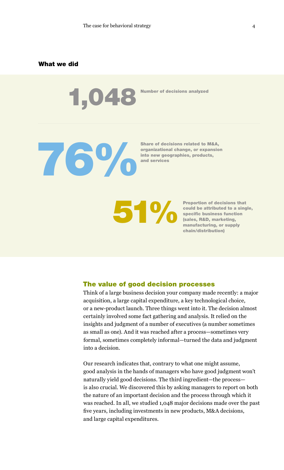What we did

1,048

Number of decisions analyzed

# Share of decisions related to M&A,<br>organizational change, or expansion<br>into new geographies, products,<br>and services

organizational change, or expansion into new geographies, products, and services

**Proportion of decisions that**<br>could be attributed to a sing<br>specific business function<br>(sales, R&D, marketing,<br>manufacturing, or supply

could be attributed to a single, specific business function (sales, R&D, marketing, manufacturing, or supply chain/distribution)

#### The value of good decision processes

Think of a large business decision your company made recently: a major acquisition, a large capital expenditure, a key technological choice, or a new-product launch. Three things went into it. The decision almost certainly involved some fact gathering and analysis. It relied on the insights and judgment of a number of executives (a number sometimes as small as one). And it was reached after a process—sometimes very formal, sometimes completely informal—turned the data and judgment into a decision.

Our research indicates that, contrary to what one might assume, good analysis in the hands of managers who have good judgment won't naturally yield good decisions. The third ingredient—the process is also crucial. We discovered this by asking managers to report on both the nature of an important decision and the process through which it was reached. In all, we studied 1,048 major decisions made over the past five years, including investments in new products, M&A decisions, and large capital expenditures.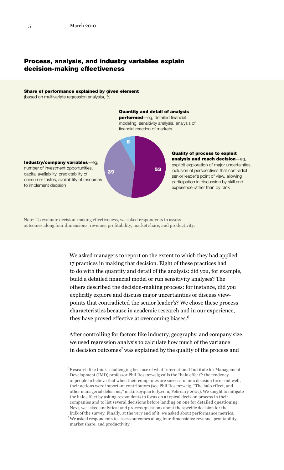#### Process, analysis, and industry variables explain decision-making effectiveness

#### Share of performance explained by given element

(based on multivariate regression analysis), %



Note: To evaluate decision-making effectiveness, we asked respondents to assess outcomes along four dimensions: revenue, profitability, market share, and productivity.

We asked managers to report on the extent to which they had applied 17 practices in making that decision. Eight of these practices had to do with the quantity and detail of the analysis: did you, for example, build a detailed financial model or run sensitivity analyses? The others described the decision-making process: for instance, did you explicitly explore and discuss major uncertainties or discuss viewpoints that contradicted the senior leader's? We chose these process characteristics because in academic research and in our experience, they have proved effective at overcoming biases.<sup>6</sup> to do with  $p$ und a deci

> After controlling for factors like industry, geography, and company size, we used regression analysis to calculate how much of the variance in decision outcomes<sup>7</sup> was explained by the quality of the process and After controlling for factors like industry, geography, and company siz 5.3 we used regression analysis After controlling for factors like industry, geography, and com

 $^6$ Research like this is challenging because of what International Institute for Management Development (IMD) professor Phil Rosenzweig calls the "halo effect": the tendency of people to believe that when their companies are successful or a decision turns out well, their actions were important contributors (see Phil Rosenzweig, "The halo effect, and other managerial delusions," mckinseyquarterly.com, February 2007). We sought to mitigate the halo effect by asking respondents to focus on a typical decision process in their companies and to list several decisions before landing on one for detailed questioning. Next, we asked analytical and process questions about the specific decision for the bulk of the survey. Finally, at the very end of it, we asked about performance metrics.

 $^7\rm{We}$  asked respondents to assess outcomes along four dimensions: revenue, profitability, market share, and productivity.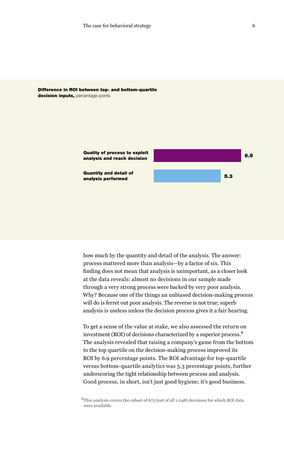Difference in ROI between top- and bottom-quartile decision inputs, percentage points



how much by the quantity and detail of the analysis. The answer: process mattered more than analysis—by a factor of six. This finding does not mean that analysis is unimportant, as a closer look at the data reveals: almost no decisions in our sample made through a very strong process were backed by very poor analysis. Why? Because one of the things an unbiased decision-making process will do is ferret out poor analysis. The reverse is not true; superb analysis is useless unless the decision process gives it a fair hearing.

To get a sense of the value at stake, we also assessed the return on investment (ROI) of decisions characterized by a superior process.<sup>8</sup> The analysis revealed that raising a company's game from the bottom to the top quartile on the decision-making process improved its ROI by 6.9 percentage points. The ROI advantage for top-quartile versus bottom-quartile analytics was 5.3 percentage points, further underscoring the tight relationship between process and analysis. Good process, in short, isn't just good hygiene; it's good business.

8 This analysis covers the subset of 673 (out of all 1,048) decisions for which ROI data were available.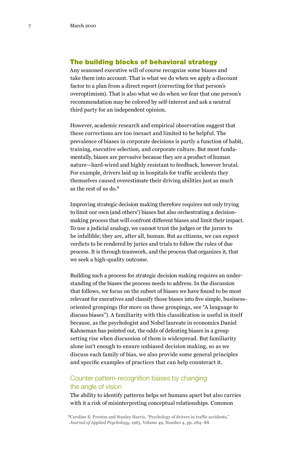#### The building blocks of behavioral strategy

Any seasoned executive will of course recognize some biases and take them into account. That is what we do when we apply a discount factor to a plan from a direct report (correcting for that person's overoptimism). That is also what we do when we fear that one person's recommendation may be colored by self-interest and ask a neutral third party for an independent opinion.

However, academic research and empirical observation suggest that these corrections are too inexact and limited to be helpful. The prevalence of biases in corporate decisions is partly a function of habit, training, executive selection, and corporate culture. But most fundamentally, biases are pervasive because they are a product of human nature—hard-wired and highly resistant to feedback, however brutal. For example, drivers laid up in hospitals for traffic accidents they themselves caused overestimate their driving abilities just as much as the rest of us do.<sup>9</sup>

Improving strategic decision making therefore requires not only trying to limit our own (and others') biases but also orchestrating a decisionmaking process that will confront different biases and limit their impact. To use a judicial analogy, we cannot trust the judges or the jurors to be infallible; they are, after all, human. But as citizens, we can expect verdicts to be rendered by juries and trials to follow the rules of due process. It is through teamwork, and the process that organizes it, that we seek a high-quality outcome.

Building such a process for strategic decision making requires an understanding of the biases the process needs to address. In the discussion that follows, we focus on the subset of biases we have found to be most relevant for executives and classify those biases into five simple, businessoriented groupings (for more on these groupings, see "A language to discuss biases"). A familiarity with this classification is useful in itself because, as the psychologist and Nobel laureate in economics Daniel Kahneman has pointed out, the odds of defeating biases in a group setting rise when discussion of them is widespread. But familiarity alone isn't enough to ensure unbiased decision making, so as we discuss each family of bias, we also provide some general principles and specific examples of practices that can help counteract it.

#### Counter pattern-recognition biases by changing the angle of vision

The ability to identify patterns helps set humans apart but also carries with it a risk of misinterpreting conceptual relationships. Common

<sup>9</sup>Caroline E. Preston and Stanley Harris, "Psychology of drivers in traffic accidents," *Journal of Applied Psychology,* 1965, Volume 49, Number 4, pp. 284–88.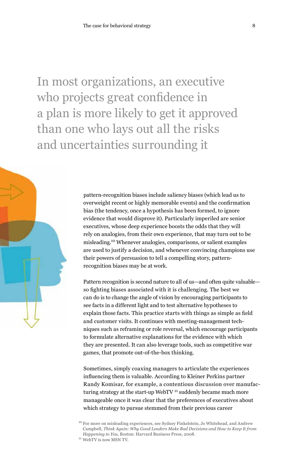In most organizations, an executive who projects great confidence in a plan is more likely to get it approved than one who lays out all the risks and uncertainties surrounding it

> pattern-recognition biases include saliency biases (which lead us to overweight recent or highly memorable events) and the confirmation bias (the tendency, once a hypothesis has been formed, to ignore evidence that would disprove it). Particularly imperiled are senior executives, whose deep experience boosts the odds that they will rely on analogies, from their own experience, that may turn out to be misleading.10 Whenever analogies, comparisons, or salient examples are used to justify a decision, and whenever convincing champions use their powers of persuasion to tell a compelling story, patternrecognition biases may be at work.

Pattern recognition is second nature to all of us—and often quite valuable so fighting biases associated with it is challenging. The best we can do is to change the angle of vision by encouraging participants to see facts in a different light and to test alternative hypotheses to explain those facts. This practice starts with things as simple as field and customer visits. It continues with meeting-management techniques such as reframing or role reversal, which encourage participants to formulate alternative explanations for the evidence with which they are presented. It can also leverage tools, such as competitive war games, that promote out-of-the-box thinking.

Sometimes, simply coaxing managers to articulate the experiences influencing them is valuable. According to Kleiner Perkins partner Randy Komisar, for example, a contentious discussion over manufacturing strategy at the start-up WebTV $11$  suddenly became much more manageable once it was clear that the preferences of executives about which strategy to pursue stemmed from their previous career

<sup>&</sup>lt;sup>10</sup> For more on misleading experiences, see Sydney Finkelstein, Jo Whitehead, and Andrew Campbell, *Think Again: Why Good Leaders Make Bad Decisions and How to Keep It from Happening to You,* Boston: Harvard Business Press, 2008.

<sup>&</sup>lt;sup>11</sup> WebTV is now MSN TV.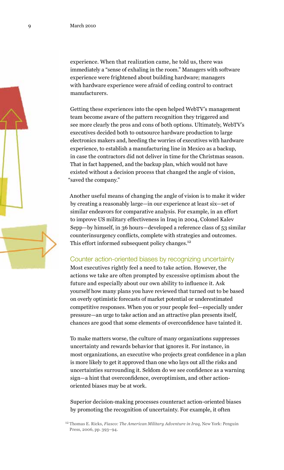experience. When that realization came, he told us, there was immediately a "sense of exhaling in the room." Managers with software experience were frightened about building hardware; managers with hardware experience were afraid of ceding control to contract manufacturers.

Getting these experiences into the open helped WebTV's management team become aware of the pattern recognition they triggered and see more clearly the pros and cons of both options. Ultimately, WebTV's executives decided both to outsource hardware production to large electronics makers and, heeding the worries of executives with hardware experience, to establish a manufacturing line in Mexico as a backup, in case the contractors did not deliver in time for the Christmas season. That in fact happened, and the backup plan, which would not have existed without a decision process that changed the angle of vision, "saved the company."

Another useful means of changing the angle of vision is to make it wider by creating a reasonably large—in our experience at least six—set of similar endeavors for comparative analysis. For example, in an effort to improve US military effectiveness in Iraq in 2004, Colonel Kalev Sepp—by himself, in 36 hours—developed a reference class of 53 similar counterinsurgency conflicts, complete with strategies and outcomes. This effort informed subsequent policy changes.<sup>12</sup>

#### Counter action-oriented biases by recognizing uncertainty

Most executives rightly feel a need to take action. However, the actions we take are often prompted by excessive optimism about the future and especially about our own ability to influence it. Ask yourself how many plans you have reviewed that turned out to be based on overly optimistic forecasts of market potential or underestimated competitive responses. When you or your people feel—especially under pressure—an urge to take action and an attractive plan presents itself, chances are good that some elements of overconfidence have tainted it.

To make matters worse, the culture of many organizations suppresses uncertainty and rewards behavior that ignores it. For instance, in most organizations, an executive who projects great confidence in a plan is more likely to get it approved than one who lays out all the risks and uncertainties surrounding it. Seldom do we see confidence as a warning sign—a hint that overconfidence, overoptimism, and other actionoriented biases may be at work.

Superior decision-making processes counteract action-oriented biases by promoting the recognition of uncertainty. For example, it often

12 Thomas E. Ricks, *Fiasco: The American Military Adventure in Iraq,* New York: Penguin Press, 2006, pp. 393–94.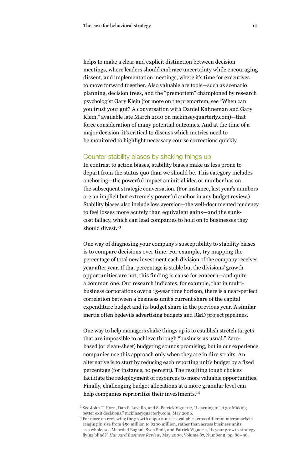helps to make a clear and explicit distinction between decision meetings, where leaders should embrace uncertainty while encouraging dissent, and implementation meetings, where it's time for executives to move forward together. Also valuable are tools—such as scenario planning, decision trees, and the "premortem" championed by research psychologist Gary Klein (for more on the premortem, see "When can you trust your gut? A conversation with Daniel Kahneman and Gary Klein," available late March 2010 on mckinseyquarterly.com)—that force consideration of many potential outcomes. And at the time of a major decision, it's critical to discuss which metrics need to be monitored to highlight necessary course corrections quickly.

#### Counter stability biases by shaking things up

In contrast to action biases, stability biases make us less prone to depart from the status quo than we should be. This category includes anchoring—the powerful impact an initial idea or number has on the subsequent strategic conversation. (For instance, last year's numbers are an implicit but extremely powerful anchor in any budget review.) Stability biases also include loss aversion—the well-documented tendency to feel losses more acutely than equivalent gains—and the sunkcost fallacy, which can lead companies to hold on to businesses they should divest.<sup>13</sup>

One way of diagnosing your company's susceptibility to stability biases is to compare decisions over time. For example, try mapping the percentage of total new investment each division of the company receives year after year. If that percentage is stable but the divisions' growth opportunities are not, this finding is cause for concern—and quite a common one. Our research indicates, for example, that in multibusiness corporations over a 15-year time horizon, there is a near-perfect correlation between a business unit's current share of the capital expenditure budget and its budget share in the previous year. A similar inertia often bedevils advertising budgets and R&D project pipelines.

One way to help managers shake things up is to establish stretch targets that are impossible to achieve through "business as usual." Zerobased (or clean-sheet) budgeting sounds promising, but in our experience companies use this approach only when they are in dire straits. An alternative is to start by reducing each reporting unit's budget by a fixed percentage (for instance, 10 percent). The resulting tough choices facilitate the redeployment of resources to more valuable opportunities. Finally, challenging budget allocations at a more granular level can help companies reprioritize their investments.<sup>14</sup>

<sup>&</sup>lt;sup>13</sup> See John T. Horn, Dan P. Lovallo, and S. Patrick Viguerie, "Learning to let go: Making better exit decisions," mckinseyquarterly.com, May 2006.

 $^{14}$  For more on reviewing the growth opportunities available across different micromarkets ranging in size from \$50 million to \$200 million, rather than across business units as a whole, see Mehrdad Baghai, Sven Smit, and Patrick Viguerie, "Is your growth strategy flying blind?" *Harvard Business Review,* May 2009, Volume 87, Number 5, pp. 86–96.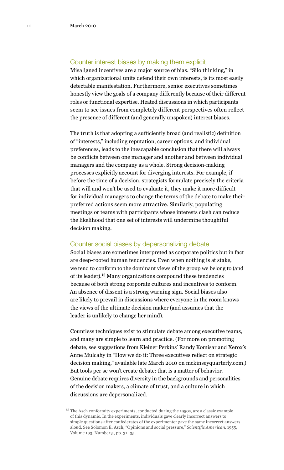#### Counter interest biases by making them explicit

Misaligned incentives are a major source of bias. "Silo thinking," in which organizational units defend their own interests, is its most easily detectable manifestation. Furthermore, senior executives sometimes honestly view the goals of a company differently because of their different roles or functional expertise. Heated discussions in which participants seem to see issues from completely different perspectives often reflect the presence of different (and generally unspoken) interest biases.

The truth is that adopting a sufficiently broad (and realistic) definition of "interests," including reputation, career options, and individual preferences, leads to the inescapable conclusion that there will always be conflicts between one manager and another and between individual managers and the company as a whole. Strong decision-making processes explicitly account for diverging interests. For example, if before the time of a decision, strategists formulate precisely the criteria that will and won't be used to evaluate it, they make it more difficult for individual managers to change the terms of the debate to make their preferred actions seem more attractive. Similarly, populating meetings or teams with participants whose interests clash can reduce the likelihood that one set of interests will undermine thoughtful decision making.

#### Counter social biases by depersonalizing debate

Social biases are sometimes interpreted as corporate politics but in fact are deep-rooted human tendencies. Even when nothing is at stake, we tend to conform to the dominant views of the group we belong to (and of its leader).15 Many organizations compound these tendencies because of both strong corporate cultures and incentives to conform. An absence of dissent is a strong warning sign. Social biases also are likely to prevail in discussions where everyone in the room knows the views of the ultimate decision maker (and assumes that the leader is unlikely to change her mind).

Countless techniques exist to stimulate debate among executive teams, and many are simple to learn and practice. (For more on promoting debate, see suggestions from Kleiner Perkins' Randy Komisar and Xerox's Anne Mulcahy in "How we do it: Three executives reflect on strategic decision making," available late March 2010 on mckinseyquarterly.com.) But tools per se won't create debate: that is a matter of behavior. Genuine debate requires diversity in the backgrounds and personalities of the decision makers, a climate of trust, and a culture in which discussions are depersonalized.

<sup>&</sup>lt;sup>15</sup> The Asch conformity experiments, conducted during the 1950s, are a classic example of this dynamic. In the experiments, individuals gave clearly incorrect answers to simple questions after confederates of the experimenter gave the same incorrect answers aloud. See Solomon E. Asch, "Opinions and social pressure," *Scientific American,* 1955, Volume 193, Number 5, pp. 31–35.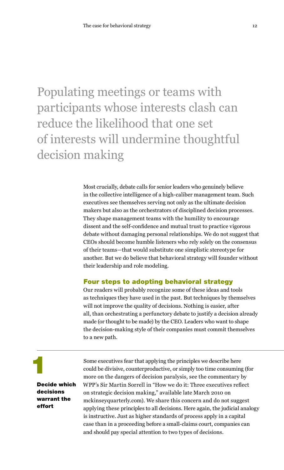Populating meetings or teams with participants whose interests clash can reduce the likelihood that one set of interests will undermine thoughtful decision making

> Most crucially, debate calls for senior leaders who genuinely believe in the collective intelligence of a high-caliber management team. Such executives see themselves serving not only as the ultimate decision makers but also as the orchestrators of disciplined decision processes. They shape management teams with the humility to encourage dissent and the self-confidence and mutual trust to practice vigorous debate without damaging personal relationships. We do not suggest that CEOs should become humble listeners who rely solely on the consensus of their teams—that would substitute one simplistic stereotype for another. But we do believe that behavioral strategy will founder without their leadership and role modeling.

#### Four steps to adopting behavioral strategy

Our readers will probably recognize some of these ideas and tools as techniques they have used in the past. But techniques by themselves will not improve the quality of decisions. Nothing is easier, after all, than orchestrating a perfunctory debate to justify a decision already made (or thought to be made) by the CEO. Leaders who want to shape the decision-making style of their companies must commit themselves to a new path.

Decide which decisions warrant the effort

1

Some executives fear that applying the principles we describe here could be divisive, counterproductive, or simply too time consuming (for more on the dangers of decision paralysis, see the commentary by WPP's Sir Martin Sorrell in "How we do it: Three executives reflect on strategic decision making," available late March 2010 on mckinseyquarterly.com). We share this concern and do not suggest applying these principles to all decisions. Here again, the judicial analogy is instructive. Just as higher standards of process apply in a capital case than in a proceeding before a small-claims court, companies can and should pay special attention to two types of decisions.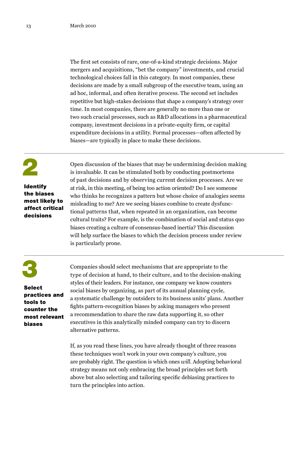The first set consists of rare, one-of-a-kind strategic decisions. Major mergers and acquisitions, "bet the company" investments, and crucial technological choices fall in this category. In most companies, these decisions are made by a small subgroup of the executive team, using an ad hoc, informal, and often iterative process. The second set includes repetitive but high-stakes decisions that shape a company's strategy over time. In most companies, there are generally no more than one or two such crucial processes, such as R&D allocations in a pharmaceutical company, investment decisions in a private-equity firm, or capital expenditure decisions in a utility. Formal processes—often affected by biases—are typically in place to make these decisions.

# 2

#### Identify the biases most likely to affect critical decisions

Open discussion of the biases that may be undermining decision making is invaluable. It can be stimulated both by conducting postmortems of past decisions and by observing current decision processes. Are we at risk, in this meeting, of being too action oriented? Do I see someone who thinks he recognizes a pattern but whose choice of analogies seems misleading to me? Are we seeing biases combine to create dysfunctional patterns that, when repeated in an organization, can become cultural traits? For example, is the combination of social and status quo biases creating a culture of consensus-based inertia? This discussion will help surface the biases to which the decision process under review is particularly prone.

# 3

Select practices and tools to counter the most relevant biases

Companies should select mechanisms that are appropriate to the type of decision at hand, to their culture, and to the decision-making styles of their leaders. For instance, one company we know counters social biases by organizing, as part of its annual planning cycle, a systematic challenge by outsiders to its business units' plans. Another fights pattern-recognition biases by asking managers who present a recommendation to share the raw data supporting it, so other executives in this analytically minded company can try to discern alternative patterns.

If, as you read these lines, you have already thought of three reasons these techniques won't work in your own company's culture, you are probably right. The question is which ones *will*. Adopting behavioral strategy means not only embracing the broad principles set forth above but also selecting and tailoring specific debiasing practices to turn the principles into action.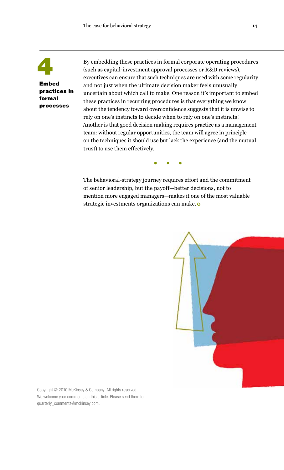

Embed practices in formal processes

By embedding these practices in formal corporate operating procedures (such as capital-investment approval processes or R&D reviews), executives can ensure that such techniques are used with some regularity and not just when the ultimate decision maker feels unusually uncertain about which call to make. One reason it's important to embed these practices in recurring procedures is that everything we know about the tendency toward overconfidence suggests that it is unwise to rely on one's instincts to decide when to rely on one's instincts! Another is that good decision making requires practice as a management team: without regular opportunities, the team will agree in principle on the techniques it should use but lack the experience (and the mutual trust) to use them effectively.

The behavioral-strategy journey requires effort and the commitment of senior leadership, but the payoff—better decisions, not to mention more engaged managers—makes it one of the most valuable strategic investments organizations can make. o



Copyright © 2010 McKinsey & Company. All rights reserved. We welcome your comments on this article. Please send them to quarterly\_comments@mckinsey.com.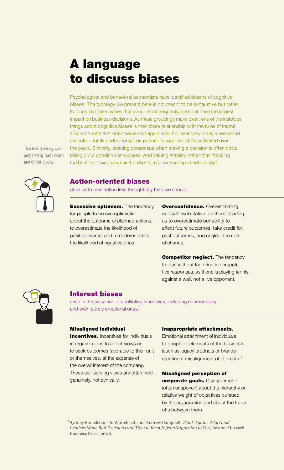### A language to discuss biases

Psychologists and behavioral economists have identified dozens of cognitive biases. The typology we present here is not meant to be exhaustive but rather to focus on those biases that occur most frequently and that have the largest impact on business decisions. As these groupings make clear, one of the insidious things about cognitive biases is their close relationship with the rules of thumb and mind-sets that often serve managers well. For example, many a seasoned executive rightly prides herself on pattern-recognition skills cultivated over the years. Similarly, seeking consensus when making a decision is often not a failing but a condition of success. And valuing stability rather than "rocking the boat" or "fixing what ain't broke" is a sound management precept.

This bias typology was prepared by Dan Lovallo and Olivier Sibony.



#### Action-oriented biases

drive us to take action less thoughtfully than we should.

**Excessive optimism.** The tendency for people to be overoptimistic about the outcome of planned actions, to overestimate the likelihood of positive events, and to underestimate the likelihood of negative ones.

**Overconfidence. Overestimating** our skill level relative to others', leading us to overestimate our ability to affect future outcomes, take credit for past outcomes, and neglect the role of chance.

**Competitor neglect.** The tendency to plan without factoring in competitive responses, as if one is playing tennis against a wall, not a live opponent.



#### Interest biases

arise in the presence of conflicting incentives, including nonmonetary and even purely emotional ones.

#### Misaligned individual

**incentives.** Incentives for individuals in organizations to adopt views or to seek outcomes favorable to their unit or themselves, at the expense of the overall interest of the company. These self-serving views are often held genuinely, not cynically.

#### Inappropriate attachments.

Emotional attachment of individuals to people or elements of the business (such as legacy products or brands), creating a misalignment of interests.<sup>1</sup>

Misaligned perception of corporate goals. Disagreements (often unspoken) about the hierarchy or relative weight of objectives pursued by the organization and about the tradeoffs between them.

1 Sydney Finkelstein, Jo Whitehead, and Andrew Campbell, *Think Again: Why Good*  Leaders Make Bad Decisions and How to Keep It fromHappening to You, Boston: Harvard Business Press, 2008.